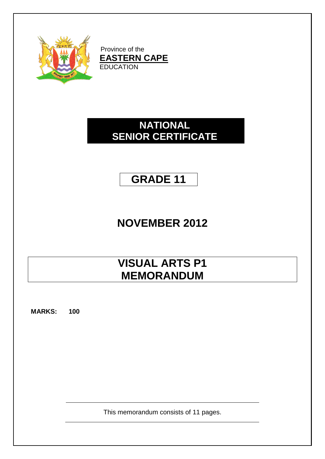

Province of the **EASTERN CAPE** EDUCATION

# **NATIONAL SENIOR CERTIFICATE**

# **GRADE 11**

# **NOVEMBER 2012**

# **VISUAL ARTS P1 MEMORANDUM**

**MARKS: 100**

This memorandum consists of 11 pages.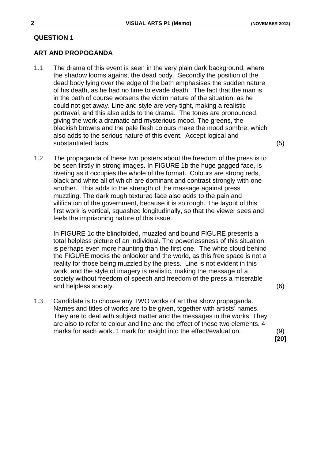#### **ART AND PROPOGANDA**

- 1.1 The drama of this event is seen in the very plain dark background, where the shadow looms against the dead body. Secondly the position of the dead body lying over the edge of the bath emphasises the sudden nature of his death, as he had no time to evade death. The fact that the man is in the bath of course worsens the victim nature of the situation, as he could not get away. Line and style are very tight, making a realistic portrayal, and this also adds to the drama. The tones are pronounced, giving the work a dramatic and mysterious mood. The greens, the blackish browns and the pale flesh colours make the mood sombre, which also adds to the serious nature of this event. Accept logical and substantiated facts. (5)
- 1.2 The propaganda of these two posters about the freedom of the press is to be seen firstly in strong images. In FIGURE 1b the huge gagged face, is riveting as it occupies the whole of the format. Colours are strong reds, black and white all of which are dominant and contrast strongly with one another. This adds to the strength of the massage against press muzzling. The dark rough textured face also adds to the pain and vilification of the government, because it is so rough. The layout of this first work is vertical, squashed longitudinally, so that the viewer sees and feels the imprisoning nature of this issue.

In FIGURE 1c the blindfolded, muzzled and bound FIGURE presents a total helpless picture of an individual. The powerlessness of this situation is perhaps even more haunting than the first one. The white cloud behind the FIGURE mocks the onlooker and the world, as this free space is not a reality for those being muzzled by the press. Line is not evident in this work, and the style of imagery is realistic, making the message of a society without freedom of speech and freedom of the press a miserable and helpless society. (6)

1.3 Candidate is to choose any TWO works of art that show propaganda. Names and titles of works are to be given, together with artists' names. They are to deal with subject matter and the messages in the works. They are also to refer to colour and line and the effect of these two elements. 4 marks for each work. 1 mark for insight into the effect/evaluation. (9)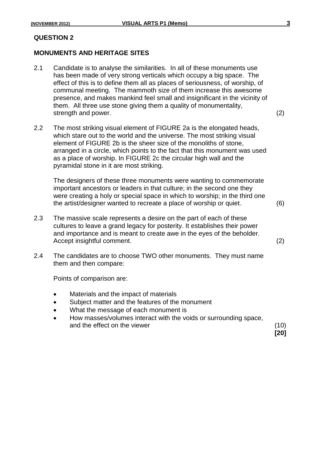#### **MONUMENTS AND HERITAGE SITES**

- 2.1 Candidate is to analyse the similarities. In all of these monuments use has been made of very strong verticals which occupy a big space. The effect of this is to define them all as places of seriousness, of worship, of communal meeting. The mammoth size of them increase this awesome presence, and makes mankind feel small and insignificant in the vicinity of them. All three use stone giving them a quality of monumentality, strength and power. (2)
	-

**[20]**

2.2 The most striking visual element of FIGURE 2a is the elongated heads, which stare out to the world and the universe. The most striking visual element of FIGURE 2b is the sheer size of the monoliths of stone, arranged in a circle, which points to the fact that this monument was used as a place of worship. In FIGURE 2c the circular high wall and the pyramidal stone in it are most striking.

The designers of these three monuments were wanting to commemorate important ancestors or leaders in that culture; in the second one they were creating a holy or special space in which to worship; in the third one the artist/designer wanted to recreate a place of worship or quiet. (6)

- 2.3 The massive scale represents a desire on the part of each of these cultures to leave a grand legacy for posterity. It establishes their power and importance and is meant to create awe in the eyes of the beholder. Accept insightful comment. (2)
- 2.4 The candidates are to choose TWO other monuments. They must name them and then compare:

Points of comparison are:

- Materials and the impact of materials
- Subject matter and the features of the monument
- What the message of each monument is
- How masses/volumes interact with the voids or surrounding space, and the effect on the viewer (10)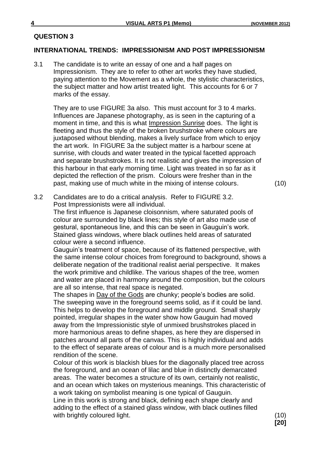#### **INTERNATIONAL TRENDS: IMPRESSIONISM AND POST IMPRESSIONISM**

3.1 The candidate is to write an essay of one and a half pages on Impressionism. They are to refer to other art works they have studied, paying attention to the Movement as a whole, the stylistic characteristics, the subject matter and how artist treated light. This accounts for 6 or 7 marks of the essay.

They are to use FIGURE 3a also. This must account for 3 to 4 marks. Influences are Japanese photography, as is seen in the capturing of a moment in time, and this is what Impression Sunrise does. The light is fleeting and thus the style of the broken brushstroke where colours are juxtaposed without blending, makes a lively surface from which to enjoy the art work. In FIGURE 3a the subject matter is a harbour scene at sunrise, with clouds and water treated in the typical facetted approach and separate brushstrokes. It is not realistic and gives the impression of this harbour in that early morning time. Light was treated in so far as it depicted the reflection of the prism. Colours were fresher than in the past, making use of much white in the mixing of intense colours. (10)

3.2 Candidates are to do a critical analysis. Refer to FIGURE 3.2. Post Impressionists were all individual.

The first influence is Japanese cloisonnism, where saturated pools of colour are surrounded by black lines; this style of art also made use of gestural, spontaneous line, and this can be seen in Gauguin's work. Stained glass windows, where black outlines held areas of saturated colour were a second influence.

Gauguin's treatment of space, because of its flattened perspective, with the same intense colour choices from foreground to background, shows a deliberate negation of the traditional realist aerial perspective. It makes the work primitive and childlike. The various shapes of the tree, women and water are placed in harmony around the composition, but the colours are all so intense, that real space is negated.

The shapes in Day of the Gods are chunky; people's bodies are solid. The sweeping wave in the foreground seems solid, as if it could be land. This helps to develop the foreground and middle ground. Small sharply pointed, irregular shapes in the water show how Gauguin had moved away from the Impressionistic style of unmixed brushstrokes placed in more harmonious areas to define shapes, as here they are dispersed in patches around all parts of the canvas. This is highly individual and adds to the effect of separate areas of colour and is a much more personalised rendition of the scene.

Colour of this work is blackish blues for the diagonally placed tree across the foreground, and an ocean of lilac and blue in distinctly demarcated areas. The water becomes a structure of its own, certainly not realistic, and an ocean which takes on mysterious meanings. This characteristic of a work taking on symbolist meaning is one typical of Gauguin. Line in this work is strong and black, defining each shape clearly and

adding to the effect of a stained glass window, with black outlines filled with brightly coloured light. (10)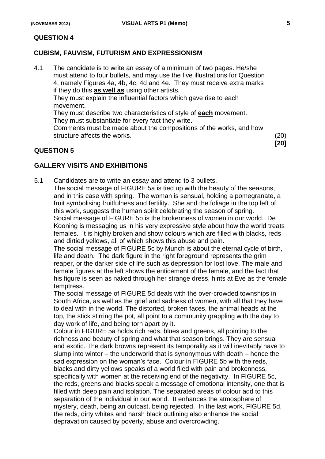#### **CUBISM, FAUVISM, FUTURISM AND EXPRESSIONISM**

4.1 The candidate is to write an essay of a minimum of two pages. He/she must attend to four bullets, and may use the five illustrations for Question 4, namely Figures 4a, 4b, 4c, 4d and 4e. They must receive extra marks if they do this **as well as** using other artists.

They must explain the influential factors which gave rise to each movement.

They must describe two characteristics of style of **each** movement.

They must substantiate for every fact they write.

Comments must be made about the compositions of the works, and how structure affects the works. (20)

# **QUESTION 5**

**[20]**

# **GALLERY VISITS AND EXHIBITIONS**

5.1 Candidates are to write an essay and attend to 3 bullets. The social message of FIGURE 5a is tied up with the beauty of the seasons, and in this case with spring. The woman is sensual, holding a pomegranate, a fruit symbolising fruitfulness and fertility. She and the foliage in the top left of this work, suggests the human spirit celebrating the season of spring. Social message of FIGURE 5b is the brokenness of women in our world. De Kooning is messaging us in his very expressive style about how the world treats females. It is highly broken and show colours which are filled with blacks, reds and dirtied yellows, all of which shows this abuse and pain.

The social message of FIGURE 5c by Munch is about the eternal cycle of birth, life and death. The dark figure in the right foreground represents the grim reaper, or the darker side of life such as depression for lost love. The male and female figures at the left shows the enticement of the female, and the fact that his figure is seen as naked through her strange dress, hints at Eve as the female temptress.

The social message of FIGURE 5d deals with the over-crowded townships in South Africa, as well as the grief and sadness of women, with all that they have to deal with in the world. The distorted, broken faces, the animal heads at the top, the stick stirring the pot, all point to a community grappling with the day to day work of life, and being torn apart by it.

Colour in FIGURE 5a holds rich reds, blues and greens, all pointing to the richness and beauty of spring and what that season brings. They are sensual and exotic. The dark browns represent its temporality as it will inevitably have to slump into winter – the underworld that is synonymous with death – hence the sad expression on the woman's face. Colour in FIGURE 5b with the reds, blacks and dirty yellows speaks of a world filed with pain and brokenness, specifically with women at the receiving end of the negativity. In FIGURE 5c, the reds, greens and blacks speak a message of emotional intensity, one that is filled with deep pain and isolation. The separated areas of colour add to this separation of the individual in our world. It enhances the atmosphere of mystery, death, being an outcast, being rejected. In the last work, FIGURE 5d, the reds, dirty whites and harsh black outlining also enhance the social depravation caused by poverty, abuse and overcrowding.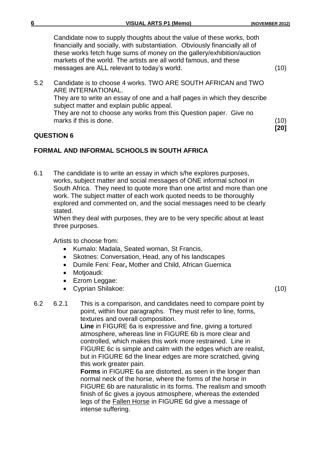**[20]**

Candidate now to supply thoughts about the value of these works, both financially and socially, with substantiation. Obviously financially all of these works fetch huge sums of money on the gallery/exhibition/auction markets of the world. The artists are all world famous, and these messages are ALL relevant to today's world. (10)

5.2 Candidate is to choose 4 works. TWO ARE SOUTH AFRICAN and TWO ARE INTERNATIONAL. They are to write an essay of one and a half pages in which they describe subject matter and explain public appeal. They are not to choose any works from this Question paper. Give no marks if this is done. (10)

#### **QUESTION 6**

# **FORMAL AND INFORMAL SCHOOLS IN SOUTH AFRICA**

6.1 The candidate is to write an essay in which s/he explores purposes, works, subject matter and social messages of ONE informal school in South Africa. They need to quote more than one artist and more than one work. The subject matter of each work quoted needs to be thoroughly explored and commented on, and the social messages need to be clearly stated.

When they deal with purposes, they are to be very specific about at least three purposes.

Artists to choose from:

- Kumalo: Madala, Seated woman, St Francis,
- Skotnes: Conversation, Head, any of his landscapes
- Dumile Feni: Fear**,** Mother and Child, African Guernica
- Motjoaudi:
- Ezrom Leggae:
- Cyprian Shilakoe: (10)

6.2 6.2.1 This is a comparison, and candidates need to compare point by point, within four paragraphs. They must refer to line, forms, textures and overall composition.

**Line** in FIGURE 6a is expressive and fine, giving a tortured atmosphere, whereas line in FIGURE 6b is more clear and controlled, which makes this work more restrained. Line in FIGURE 6c is simple and calm with the edges which are realist, but in FIGURE 6d the linear edges are more scratched, giving this work greater pain.

**Forms** in FIGURE 6a are distorted, as seen in the longer than normal neck of the horse, where the forms of the horse in FIGURE 6b are naturalistic in its forms. The realism and smooth finish of 6c gives a joyous atmosphere, whereas the extended legs of the Fallen Horse in FIGURE 6d give a message of intense suffering.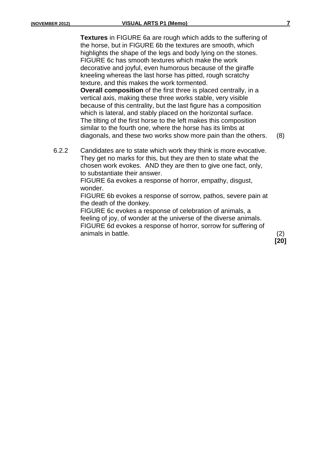**Textures** in FIGURE 6a are rough which adds to the suffering of the horse, but in FIGURE 6b the textures are smooth, which highlights the shape of the legs and body lying on the stones. FIGURE 6c has smooth textures which make the work decorative and joyful, even humorous because of the giraffe kneeling whereas the last horse has pitted, rough scratchy texture, and this makes the work tormented.

**Overall composition** of the first three is placed centrally, in a vertical axis, making these three works stable, very visible because of this centrality, but the last figure has a composition which is lateral, and stably placed on the horizontal surface. The tilting of the first horse to the left makes this composition similar to the fourth one, where the horse has its limbs at diagonals, and these two works show more pain than the others. (8)

6.2.2 Candidates are to state which work they think is more evocative. They get no marks for this, but they are then to state what the chosen work evokes. AND they are then to give one fact, only, to substantiate their answer.

> FIGURE 6a evokes a response of horror, empathy, disgust, wonder.

FIGURE 6b evokes a response of sorrow, pathos, severe pain at the death of the donkey.

FIGURE 6c evokes a response of celebration of animals, a feeling of joy, of wonder at the universe of the diverse animals. FIGURE 6d evokes a response of horror, sorrow for suffering of animals in battle. (2)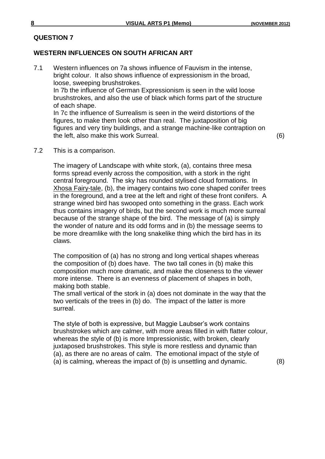# **WESTERN INFLUENCES ON SOUTH AFRICAN ART**

7.1 Western influences on 7a shows influence of Fauvism in the intense, bright colour. It also shows influence of expressionism in the broad, loose, sweeping brushstrokes. In 7b the influence of German Expressionism is seen in the wild loose brushstrokes, and also the use of black which forms part of the structure of each shape. In 7c the influence of Surrealism is seen in the weird distortions of the figures, to make them look other than real. The juxtaposition of big figures and very tiny buildings, and a strange machine-like contraption on

the left, also make this work Surreal. (6)

7.2 This is a comparison.

The imagery of Landscape with white stork, (a), contains three mesa forms spread evenly across the composition, with a stork in the right central foreground. The sky has rounded stylised cloud formations. In Xhosa Fairy-tale, (b), the imagery contains two cone shaped conifer trees in the foreground, and a tree at the left and right of these front conifers. A strange wined bird has swooped onto something in the grass. Each work thus contains imagery of birds, but the second work is much more surreal because of the strange shape of the bird. The message of (a) is simply the wonder of nature and its odd forms and in (b) the message seems to be more dreamlike with the long snakelike thing which the bird has in its claws.

The composition of (a) has no strong and long vertical shapes whereas the composition of (b) does have. The two tall cones in (b) make this composition much more dramatic, and make the closeness to the viewer more intense. There is an evenness of placement of shapes in both, making both stable.

The small vertical of the stork in (a) does not dominate in the way that the two verticals of the trees in (b) do. The impact of the latter is more surreal.

The style of both is expressive, but Maggie Laubser's work contains brushstrokes which are calmer, with more areas filled in with flatter colour, whereas the style of (b) is more Impressionistic, with broken, clearly juxtaposed brushstrokes. This style is more restless and dynamic than (a), as there are no areas of calm. The emotional impact of the style of (a) is calming, whereas the impact of (b) is unsettling and dynamic. (8)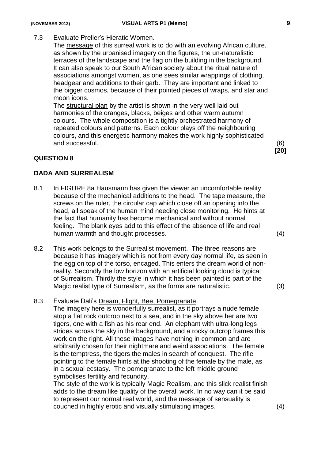### 7.3 Evaluate Preller's Hieratic Women.

The message of this surreal work is to do with an evolving African culture, as shown by the urbanised imagery on the figures, the un-naturalistic terraces of the landscape and the flag on the building in the background. It can also speak to our South African society about the ritual nature of associations amongst women, as one sees similar wrappings of clothing, headgear and additions to their garb. They are important and linked to the bigger cosmos, because of their pointed pieces of wraps, and star and moon icons.

The structural plan by the artist is shown in the very well laid out harmonies of the oranges, blacks, beiges and other warm autumn colours. The whole composition is a tightly orchestrated harmony of repeated colours and patterns. Each colour plays off the neighbouring colours, and this energetic harmony makes the work highly sophisticated and successful. (6)

#### **QUESTION 8**

#### **DADA AND SURREALISM**

- 8.1 In FIGURE 8a Hausmann has given the viewer an uncomfortable reality because of the mechanical additions to the head. The tape measure, the screws on the ruler, the circular cap which close off an opening into the head, all speak of the human mind needing close monitoring. He hints at the fact that humanity has become mechanical and without normal feeling. The blank eyes add to this effect of the absence of life and real human warmth and thought processes. (4)
- 8.2 This work belongs to the Surrealist movement. The three reasons are because it has imagery which is not from every day normal life, as seen in the egg on top of the torso, encaged. This enters the dream world of nonreality. Secondly the low horizon with an artificial looking cloud is typical of Surrealism. Thirdly the style in which it has been painted is part of the Magic realist type of Surrealism, as the forms are naturalistic. (3)

#### 8.3 Evaluate Dali's Dream, Flight, Bee, Pomegranate.

The imagery here is wonderfully surrealist, as it portrays a nude female atop a flat rock outcrop next to a sea, and in the sky above her are two tigers, one with a fish as his rear end. An elephant with ultra-long legs strides across the sky in the background, and a rocky outcrop frames this work on the right. All these images have nothing in common and are arbitrarily chosen for their nightmare and weird associations. The female is the temptress, the tigers the males in search of conquest. The rifle pointing to the female hints at the shooting of the female by the male, as in a sexual ecstasy. The pomegranate to the left middle ground symbolises fertility and fecundity.

The style of the work is typically Magic Realism, and this slick realist finish adds to the dream like quality of the overall work. In no way can it be said to represent our normal real world, and the message of sensuality is couched in highly erotic and visually stimulating images. (4)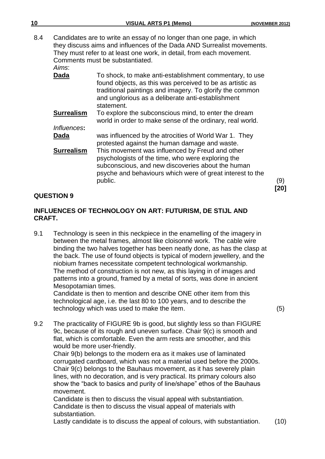| 10  |                                                                                                                                                                                                                                                                     | <b>VISUAL ARTS P1 (Memo)</b>                                                                                                                                                                                                                        | (NOVEMBER 2012) |
|-----|---------------------------------------------------------------------------------------------------------------------------------------------------------------------------------------------------------------------------------------------------------------------|-----------------------------------------------------------------------------------------------------------------------------------------------------------------------------------------------------------------------------------------------------|-----------------|
| 8.4 | Candidates are to write an essay of no longer than one page, in which<br>they discuss aims and influences of the Dada AND Surrealist movements.<br>They must refer to at least one work, in detail, from each movement.<br>Comments must be substantiated.<br>Aims: |                                                                                                                                                                                                                                                     |                 |
|     | Dada                                                                                                                                                                                                                                                                | To shock, to make anti-establishment commentary, to use<br>found objects, as this was perceived to be as artistic as<br>traditional paintings and imagery. To glorify the common<br>and unglorious as a deliberate anti-establishment<br>statement. |                 |
|     | <b>Surrealism</b><br>Influences:                                                                                                                                                                                                                                    | To explore the subconscious mind, to enter the dream<br>world in order to make sense of the ordinary, real world.                                                                                                                                   |                 |
|     | Dada                                                                                                                                                                                                                                                                | was influenced by the atrocities of World War 1. They<br>protested against the human damage and waste.                                                                                                                                              |                 |
|     | <b>Surrealism</b>                                                                                                                                                                                                                                                   | This movement was influenced by Freud and other<br>psychologists of the time, who were exploring the<br>subconscious, and new discoveries about the human<br>psyche and behaviours which were of great interest to the<br>public.                   | (9)<br>201      |

### **INFLUENCES OF TECHNOLOGY ON ART: FUTURISM, DE STIJL AND CRAFT.**

9.1 Technology is seen in this neckpiece in the enamelling of the imagery in between the metal frames, almost like cloisonné work. The cable wire binding the two halves together has been neatly done, as has the clasp at the back. The use of found objects is typical of modern jewellery, and the niobium frames necessitate competent technological workmanship. The method of construction is not new, as this laying in of images and patterns into a ground, framed by a metal of sorts, was done in ancient Mesopotamian times.

Candidate is then to mention and describe ONE other item from this technological age, i.e. the last 80 to 100 years, and to describe the technology which was used to make the item. (5)

9.2 The practicality of FIGURE 9b is good, but slightly less so than FIGURE 9c, because of its rough and uneven surface. Chair 9(c) is smooth and flat, which is comfortable. Even the arm rests are smoother, and this would be more user-friendly.

Chair 9(b) belongs to the modern era as it makes use of laminated corrugated cardboard, which was not a material used before the 2000s. Chair 9(c) belongs to the Bauhaus movement, as it has severely plain lines, with no decoration, and is very practical. Its primary colours also show the "back to basics and purity of line/shape" ethos of the Bauhaus movement.

Candidate is then to discuss the visual appeal with substantiation. Candidate is then to discuss the visual appeal of materials with substantiation.

Lastly candidate is to discuss the appeal of colours, with substantiation. (10)